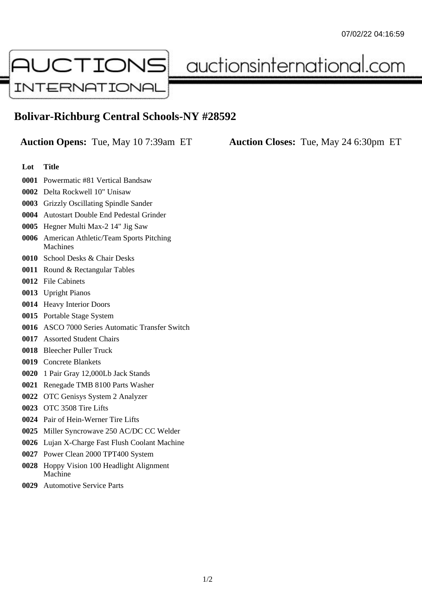

auctionsinternational.com

## **Bolivar-Richburg Central Schools-NY #28592**

**Auction Opens:** Tue, May 10 7:39am ET **Auction Closes:** Tue, May 24 6:30pm ET

- **Lot Title**
- Powermatic #81 Vertical Bandsaw
- Delta Rockwell 10" Unisaw
- Grizzly Oscillating Spindle Sander
- Autostart Double End Pedestal Grinder
- Hegner Multi Max-2 14" Jig Saw
- American Athletic/Team Sports Pitching Machines
- School Desks & Chair Desks
- Round & Rectangular Tables
- File Cabinets
- Upright Pianos
- Heavy Interior Doors
- Portable Stage System
- ASCO 7000 Series Automatic Transfer Switch
- Assorted Student Chairs
- Bleecher Puller Truck
- Concrete Blankets
- 1 Pair Gray 12,000Lb Jack Stands
- Renegade TMB 8100 Parts Washer
- OTC Genisys System 2 Analyzer
- OTC 3508 Tire Lifts
- Pair of Hein-Werner Tire Lifts
- Miller Syncrowave 250 AC/DC CC Welder
- Lujan X-Charge Fast Flush Coolant Machine
- Power Clean 2000 TPT400 System
- Hoppy Vision 100 Headlight Alignment Machine
- Automotive Service Parts